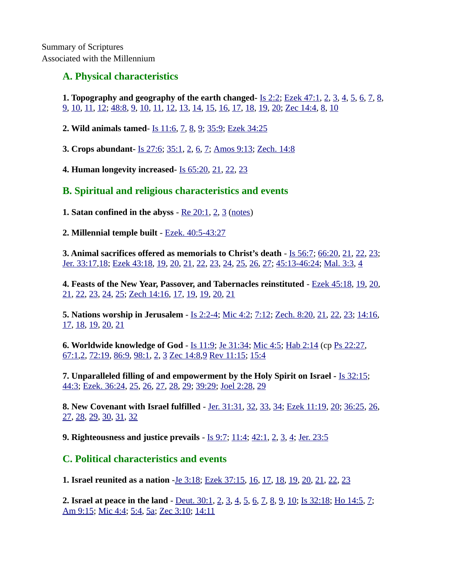## **A. Physical characteristics**

**1. Topography and geography of the earth changed-** [Is 2:2;](https://biblia.com/bible/niv/Isa%202.2) [Ezek 47:1](https://biblia.com/bible/niv/Ezek%2047.1), [2](https://biblia.com/bible/niv/Ezek%2047.2), [3](https://biblia.com/bible/niv/Ezek%2047.3), [4](https://biblia.com/bible/niv/Ezek%2047.4), [5](https://biblia.com/bible/niv/Ezek%2047.5), [6](https://biblia.com/bible/niv/Ezek%2047.6), [7](https://biblia.com/bible/niv/Ezek%2047.7), [8](https://biblia.com/bible/niv/Ezek%2047.8), [9](https://biblia.com/bible/niv/Ezek%2047.9), [10](https://biblia.com/bible/niv/Ezek%2047.10), [11,](https://biblia.com/bible/niv/Ezek%2047.11) [12;](https://biblia.com/bible/niv/Ezek%2047.12) [48:8](https://biblia.com/bible/niv/Ezek%2048.8), [9](https://biblia.com/bible/niv/Ezek%2048.9), [10](https://biblia.com/bible/niv/Ezek%2048.10), [11](https://biblia.com/bible/niv/Ezek%2048.11), [12](https://biblia.com/bible/niv/Ezek%2048.12), [13](https://biblia.com/bible/niv/Ezek%2048.13), [14](https://biblia.com/bible/niv/Ezek%2048.14), [15](https://biblia.com/bible/niv/Ezek%2048.15), [16](https://biblia.com/bible/niv/Ezek%2048.16), [17](https://biblia.com/bible/niv/Ezek%2048.17), [18](https://biblia.com/bible/niv/Ezek%2048.18), [19](https://biblia.com/bible/niv/Ezek%2048.19), [20](https://biblia.com/bible/niv/Ezek%2048.20); [Zec 14:4,](https://biblia.com/bible/niv/Zech%2014.4) [8,](https://biblia.com/bible/niv/Zec%2014.8) [10](https://biblia.com/bible/niv/Zec%2014.10)

**2. Wild animals tamed**- [Is 11:6,](https://biblia.com/bible/niv/Isa%2011.6) [7,](https://biblia.com/bible/niv/Is%2011.7) [8,](https://biblia.com/bible/niv/Is%2011.8) [9;](https://biblia.com/bible/niv/Is%2011.9) [35:9](https://biblia.com/bible/niv/Is%2035.9); [Ezek 34:25](https://biblia.com/bible/niv/Ezek%2034.25)

**3. Crops abundant-** [Is 27:6;](https://biblia.com/bible/niv/Isa%2027.6) [35:1](https://biblia.com/bible/niv/Is%2035.1), [2](https://biblia.com/bible/niv/Is%2035.2), [6](https://biblia.com/bible/niv/Is%2035.6), [7](https://biblia.com/bible/niv/Is%2035.7); [Amos 9:13;](https://biblia.com/bible/niv/Amos%209.13) [Zech. 14:8](https://biblia.com/bible/niv/Zech.%2014.8)

**4. Human longevity increased-** [Is 65:20](https://biblia.com/bible/niv/Isa%2065.20), [21](https://biblia.com/bible/niv/Is%2065.21), [22](https://biblia.com/bible/niv/Is%2065.22), [23](https://biblia.com/bible/niv/Is%2065.23)

## **B. Spiritual and religious characteristics and events**

**1. Satan confined in the abyss** - [Re 20:1](https://biblia.com/bible/niv/Rev%2020.1), [2](https://biblia.com/bible/niv/Re%2020.2), [3](https://biblia.com/bible/niv/Re%2020.3) [\(notes\)](http://www.spiritandtruth.org/id/revc.htm?20:1)

**2. Millennial temple built** - [Ezek. 40:5-43:27](https://biblia.com/bible/niv/Ezek.%2040.5-43.27)

**3. Animal sacrifices offered as memorials to Christ's death** - [Is 56:7](https://biblia.com/bible/niv/Isa%2056.7); [66:20](https://biblia.com/bible/niv/Is%2066.20), [21](https://biblia.com/bible/niv/Is%2066.21), [22](https://biblia.com/bible/niv/Is%2066.22), [23](https://biblia.com/bible/niv/Is%2066.23); [Jer. 33:17,](https://biblia.com/bible/niv/Jer.%2033.17)[18;](https://biblia.com/bible/niv/Jer%2033.18) [Ezek 43:18](https://biblia.com/bible/niv/Ezek%2043.18), [19](https://biblia.com/bible/niv/Ezek%2043.19), [20](https://biblia.com/bible/niv/Ezek%2043.20), [21](https://biblia.com/bible/niv/Ezek%2043.21), [22](https://biblia.com/bible/niv/Ezek%2043.22), [23](https://biblia.com/bible/niv/Ezek%2043.23), [24](https://biblia.com/bible/niv/Ezek%2043.24), [25](https://biblia.com/bible/niv/Ezek%2043.25), [26](https://biblia.com/bible/niv/Ezek%2043.26), [27](https://biblia.com/bible/niv/Ezek%2043.27); [45:13-46:24](https://biblia.com/bible/niv/Ezek%2045.13-46.24); [Mal. 3:3](https://biblia.com/bible/niv/Mal.%203.3), [4](https://biblia.com/bible/niv/Mal%203.4)

**4. Feasts of the New Year, Passover, and Tabernacles reinstituted** - [Ezek 45:18,](https://biblia.com/bible/niv/Ezek%2045.18) [19,](https://biblia.com/bible/niv/Ezek%2045.19) [20,](https://biblia.com/bible/niv/Ezek%2045.20) [21](https://biblia.com/bible/niv/Ezek%2045.21), [22](https://biblia.com/bible/niv/Ezek%2045.22), [23](https://biblia.com/bible/niv/Ezek%2045.23), [24](https://biblia.com/bible/niv/Ezek%2045.24), [25](https://biblia.com/bible/niv/Ezek%2045.25); [Zech 14:16,](https://biblia.com/bible/niv/Zech%2014.16) [17,](https://biblia.com/bible/niv/Zech%2014.17) [19,](https://biblia.com/bible/niv/Zech%2014.19) [19,](https://biblia.com/bible/niv/Zech%2014.19) [20,](https://biblia.com/bible/niv/Zech%2014.20) [21](https://biblia.com/bible/niv/Zech%2014.21)

**5. Nations worship in Jerusalem** - [Is 2:2-4](https://biblia.com/bible/niv/Isa%202.2-4); [Mic 4:2](https://biblia.com/bible/niv/Micah%204.2); [7:12](https://biblia.com/bible/niv/Mic%207.12); [Zech. 8:20,](https://biblia.com/bible/niv/Zech.%208.20) [21,](https://biblia.com/bible/niv/Zech%208.21) [22,](https://biblia.com/bible/niv/Zech%208.22) [23;](https://biblia.com/bible/niv/Zech%208.23) [14:16,](https://biblia.com/bible/niv/Zech%2014.16) [17](https://biblia.com/bible/niv/Zech%2014.17), [18](https://biblia.com/bible/niv/Zech%2014.18), [19](https://biblia.com/bible/niv/Zech%2014.19), [20](https://biblia.com/bible/niv/Zech%2014.20), [21](https://biblia.com/bible/niv/Zech%2014.21)

**6. Worldwide knowledge of God** - [Is 11:9;](https://biblia.com/bible/niv/Isa%2011.9) [Je 31:34;](https://biblia.com/bible/niv/Jer%2031.34) [Mic 4:5;](https://biblia.com/bible/niv/Micah%204.5) [Hab 2:14](https://biblia.com/bible/niv/Hab%202.14) (cp [Ps 22:27](https://biblia.com/bible/niv/Ps%2022.27), [67:1](https://biblia.com/bible/niv/Ps%2067.1)[,2](https://biblia.com/bible/niv/Ps%2067.2), [72:19,](https://biblia.com/bible/niv/Ps%2072.19) [86:9](https://biblia.com/bible/niv/Ps%2086.9), [98:1,](https://biblia.com/bible/niv/Ps%2098.1) [2,](https://biblia.com/bible/niv/Ps%2098.2) [3](https://biblia.com/bible/niv/Ps%2098.3) [Zec 14:8,](https://biblia.com/bible/niv/Zech%2014.8)[9](https://biblia.com/bible/niv/Zec%2014.9) [Rev 11:15](https://biblia.com/bible/niv/Rev%2011.15); [15:4](https://biblia.com/bible/niv/Rev%2015.4)

**7. Unparalleled filling of and empowerment by the Holy Spirit on Israel -** [Is 32:15](https://biblia.com/bible/niv/Isa%2032.15); [44:3](https://biblia.com/bible/niv/Is%2044.3); [Ezek. 36:24](https://biblia.com/bible/niv/Ezek.%2036.24), [25](https://biblia.com/bible/niv/Ezek%2036.25), [26](https://biblia.com/bible/niv/Ezek%2036.26), [27](https://biblia.com/bible/niv/Ezek%2036.27), [28](https://biblia.com/bible/niv/Ezek%2036.28), [29](https://biblia.com/bible/niv/Ezek%2036.29); [39:29;](https://biblia.com/bible/niv/Ezek%2039.29) [Joel 2:28,](https://biblia.com/bible/niv/Joel%202.28) [29](https://biblia.com/bible/niv/Joel%202.29)

**8. New Covenant with Israel fulfilled** - [Jer. 31:31,](https://biblia.com/bible/niv/Jer.%2031.31) [32,](https://biblia.com/bible/niv/Jer%2031.32) [33,](https://biblia.com/bible/niv/Jer%2031.33) [34;](https://biblia.com/bible/niv/Jer%2031.34) [Ezek 11:19](https://biblia.com/bible/niv/Ezek%2011.19), [20](https://biblia.com/bible/niv/Ezek%2011.20); [36:25,](https://biblia.com/bible/niv/Ezek%2036.25) [26,](https://biblia.com/bible/niv/Ezek%2036.26) [27](https://biblia.com/bible/niv/Ezek%2036.27), [28](https://biblia.com/bible/niv/Ezek%2036.28), [29](https://biblia.com/bible/niv/Ezek%2036.29), [30](https://biblia.com/bible/niv/Ezek%2036.30), [31](https://biblia.com/bible/niv/Ezek%2036.31), [32](https://biblia.com/bible/niv/Ezek%2036.32)

**9. Righteousness and justice prevails** - [Is 9:7](https://biblia.com/bible/niv/Isa%209.7); [11:4](https://biblia.com/bible/niv/Is%2011.4); [42:1,](https://biblia.com/bible/niv/Is%2042.1) [2,](https://biblia.com/bible/niv/Is%2042.2) [3,](https://biblia.com/bible/niv/Is%2042.3) [4;](https://biblia.com/bible/niv/Is%2042.4) [Jer. 23:5](https://biblia.com/bible/niv/Jer.%2023.5)

## **C. Political characteristics and events**

**1. Israel reunited as a nation** -[Je 3:18](https://biblia.com/bible/niv/Jer%203.18); [Ezek 37:15](https://biblia.com/bible/niv/Ezek%2037.15), [16](https://biblia.com/bible/niv/Ezek%2037.16), [17](https://biblia.com/bible/niv/Ezek%2037.17), [18](https://biblia.com/bible/niv/Ezek%2037.18), [19](https://biblia.com/bible/niv/Ezek%2037.19), [20](https://biblia.com/bible/niv/Ezek%2037.20), [21](https://biblia.com/bible/niv/Ezek%2037.21), [22](https://biblia.com/bible/niv/Ezek%2037.22), [23](https://biblia.com/bible/niv/Ezek%2037.23)

**2. Israel at peace in the land** - [Deut. 30:1](https://biblia.com/bible/niv/Deut.%2030.1), [2](https://biblia.com/bible/niv/Deut%2030.2), [3](https://biblia.com/bible/niv/Deut%2030.3), [4](https://biblia.com/bible/niv/Deut%2030.4), [5](https://biblia.com/bible/niv/Deut%2030.5), [6](https://biblia.com/bible/niv/Deut%2030.6), [7](https://biblia.com/bible/niv/Deut%2030.7), [8](https://biblia.com/bible/niv/Deut%2030.8), [9](https://biblia.com/bible/niv/Deut%2030.9), [10](https://biblia.com/bible/niv/Deut%2030.10); [Is 32:18;](https://biblia.com/bible/niv/Isa%2032.18) [Ho 14:5](https://biblia.com/bible/niv/Hos%2014.5), [7](https://biblia.com/bible/niv/Ho%2014.7); [Am 9:15](https://biblia.com/bible/niv/Amos%209.15); [Mic 4:4](https://biblia.com/bible/niv/Micah%204.4); [5:4](https://biblia.com/bible/niv/Mic%205.4), [5a;](https://biblia.com/bible/niv/Mic%205.5a) [Zec 3:10](https://biblia.com/bible/niv/Zech%203.10); [14:11](https://biblia.com/bible/niv/Zec%2014.11)